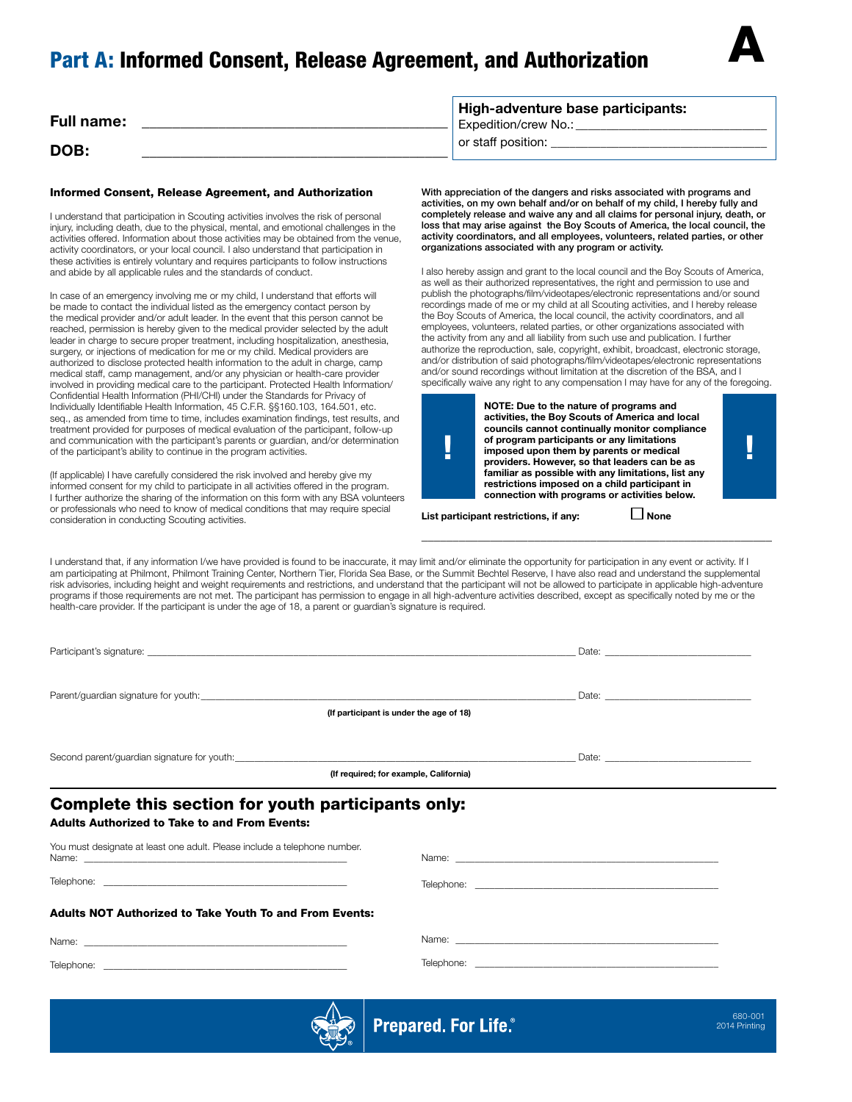# Part A: Informed Consent, Release Agreement, and Authorization



| <b>Full name:</b> | High-adventure base participants:<br><b>Expedition/crew No.:</b> |
|-------------------|------------------------------------------------------------------|
| DOB:              | or staff position:                                               |

### Informed Consent, Release Agreement, and Authorization

I understand that participation in Scouting activities involves the risk of personal injury, including death, due to the physical, mental, and emotional challenges in the activities offered. Information about those activities may be obtained from the venue, activity coordinators, or your local council. I also understand that participation in these activities is entirely voluntary and requires participants to follow instructions and abide by all applicable rules and the standards of conduct.

In case of an emergency involving me or my child, I understand that efforts will be made to contact the individual listed as the emergency contact person by the medical provider and/or adult leader. In the event that this person cannot be reached, permission is hereby given to the medical provider selected by the adult leader in charge to secure proper treatment, including hospitalization, anesthesia, surgery, or injections of medication for me or my child. Medical providers are authorized to disclose protected health information to the adult in charge, camp medical staff, camp management, and/or any physician or health-care provider involved in providing medical care to the participant. Protected Health Information/ Confidential Health Information (PHI/CHI) under the Standards for Privacy of Individually Identifiable Health Information, 45 C.F.R. §§160.103, 164.501, etc. seq., as amended from time to time, includes examination findings, test results, and treatment provided for purposes of medical evaluation of the participant, follow-up and communication with the participant's parents or guardian, and/or determination of the participant's ability to continue in the program activities.

(If applicable) I have carefully considered the risk involved and hereby give my informed consent for my child to participate in all activities offered in the program. I further authorize the sharing of the information on this form with any BSA volunteers or professionals who need to know of medical conditions that may require special consideration in conducting Scouting activities.

With appreciation of the dangers and risks associated with programs and activities, on my own behalf and/or on behalf of my child, I hereby fully and completely release and waive any and all claims for personal injury, death, or loss that may arise against the Boy Scouts of America, the local council, the activity coordinators, and all employees, volunteers, related parties, or other organizations associated with any program or activity.

I also hereby assign and grant to the local council and the Boy Scouts of America, as well as their authorized representatives, the right and permission to use and publish the photographs/film/videotapes/electronic representations and/or sound recordings made of me or my child at all Scouting activities, and I hereby release the Boy Scouts of America, the local council, the activity coordinators, and all employees, volunteers, related parties, or other organizations associated with the activity from any and all liability from such use and publication. I further authorize the reproduction, sale, copyright, exhibit, broadcast, electronic storage, and/or distribution of said photographs/film/videotapes/electronic representations and/or sound recordings without limitation at the discretion of the BSA, and I specifically waive any right to any compensation I may have for any of the foregoing.



**NOTE: Due to the nature of programs and activities, the Boy Scouts of America and local councils cannot continually monitor compliance of program participants or any limitations<br>
imposed upon them by parents or medical<br>
providers. However, so that leaders can be as imposed upon them by parents or medical providers. However, so that leaders can be as familiar as possible with any limitations, list any restrictions imposed on a child participant in connection with programs or activities below.**

\_\_\_\_\_\_\_\_\_\_\_\_\_\_\_\_\_\_\_\_\_\_\_\_\_\_\_\_\_\_\_\_\_\_\_\_\_\_\_\_\_\_\_\_\_\_\_\_\_\_\_\_\_\_\_\_

**List participant restrictions, if any:** △ None

I understand that, if any information I/we have provided is found to be inaccurate, it may limit and/or eliminate the opportunity for participation in any event or activity. If I am participating at Philmont, Philmont Training Center, Northern Tier, Florida Sea Base, or the Summit Bechtel Reserve, I have also read and understand the supplemental risk advisories, including height and weight requirements and restrictions, and understand that the participant will not be allowed to participate in applicable high-adventure programs if those requirements are not met. The participant has permission to engage in all high-adventure activities described, except as specifically noted by me or the health-care provider. If the participant is under the age of 18, a parent or guardian's signature is required.

| Parent/guardian signature for youth: example and a state of the state of the state of the state of the state of the state of the state of the state of the state of the state of the state of the state of the state of the st<br>(If participant is under the age of 18) |                                                                                                                                                                                                                                |  |  |  |  |  |
|---------------------------------------------------------------------------------------------------------------------------------------------------------------------------------------------------------------------------------------------------------------------------|--------------------------------------------------------------------------------------------------------------------------------------------------------------------------------------------------------------------------------|--|--|--|--|--|
| (If required; for example, California)                                                                                                                                                                                                                                    |                                                                                                                                                                                                                                |  |  |  |  |  |
| Complete this section for youth participants only:<br><b>Adults Authorized to Take to and From Events:</b>                                                                                                                                                                |                                                                                                                                                                                                                                |  |  |  |  |  |
| You must designate at least one adult. Please include a telephone number.                                                                                                                                                                                                 | Name: when the contract of the contract of the contract of the contract of the contract of the contract of the contract of the contract of the contract of the contract of the contract of the contract of the contract of the |  |  |  |  |  |
|                                                                                                                                                                                                                                                                           |                                                                                                                                                                                                                                |  |  |  |  |  |
| <b>Adults NOT Authorized to Take Youth To and From Events:</b>                                                                                                                                                                                                            |                                                                                                                                                                                                                                |  |  |  |  |  |
|                                                                                                                                                                                                                                                                           | Name: when the contract of the contract of the contract of the contract of the contract of the contract of the contract of the contract of the contract of the contract of the contract of the contract of the contract of the |  |  |  |  |  |
|                                                                                                                                                                                                                                                                           |                                                                                                                                                                                                                                |  |  |  |  |  |



**Prepared. For Life.**®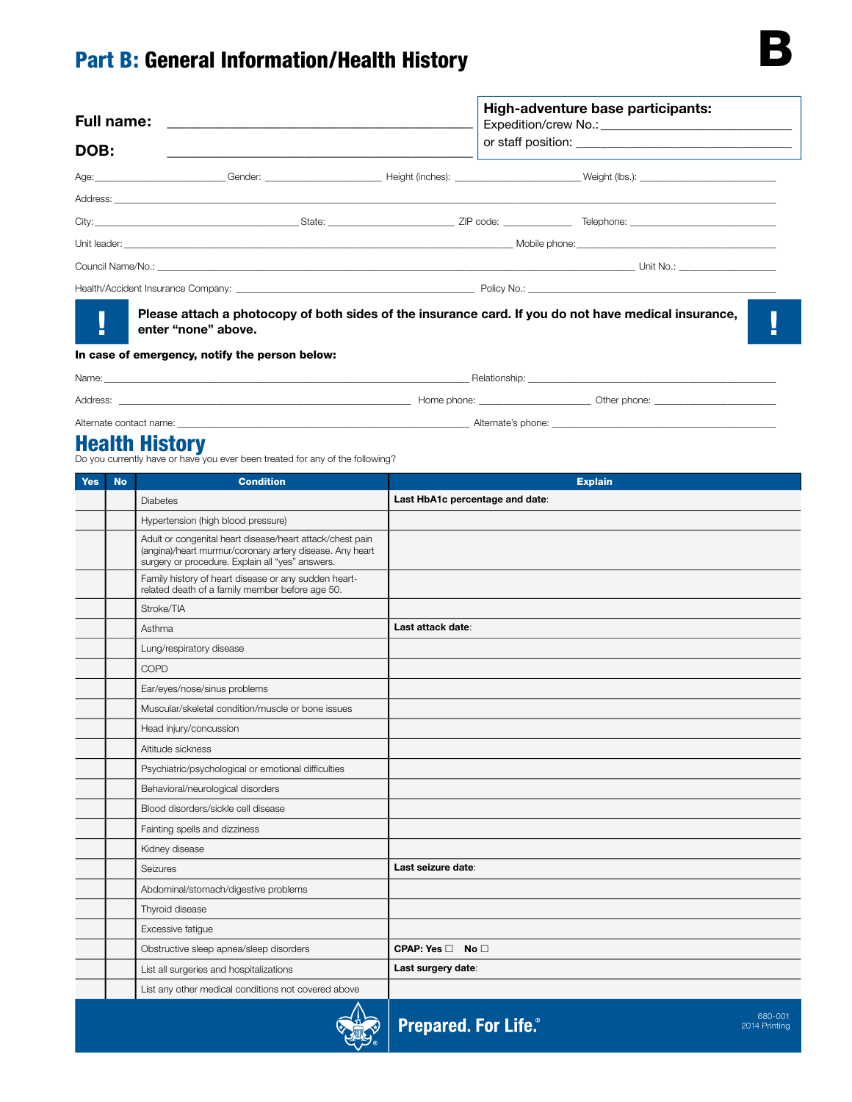# Part B: General Information/Health History

| DOB: |                                                | High-adventure base participants:<br>Expedition/crew No.: No.: Note that the set of the set of the set of the set of the set of the set of the set of the set of the set of the set of the set of the set of the set of the set of the set of the set of the set of |                                                                                                                                                                                                                                |  |  |
|------|------------------------------------------------|---------------------------------------------------------------------------------------------------------------------------------------------------------------------------------------------------------------------------------------------------------------------|--------------------------------------------------------------------------------------------------------------------------------------------------------------------------------------------------------------------------------|--|--|
|      |                                                |                                                                                                                                                                                                                                                                     |                                                                                                                                                                                                                                |  |  |
|      |                                                |                                                                                                                                                                                                                                                                     |                                                                                                                                                                                                                                |  |  |
|      |                                                |                                                                                                                                                                                                                                                                     |                                                                                                                                                                                                                                |  |  |
|      |                                                |                                                                                                                                                                                                                                                                     |                                                                                                                                                                                                                                |  |  |
|      |                                                |                                                                                                                                                                                                                                                                     |                                                                                                                                                                                                                                |  |  |
|      |                                                |                                                                                                                                                                                                                                                                     |                                                                                                                                                                                                                                |  |  |
|      | enter "none" above.                            |                                                                                                                                                                                                                                                                     | Please attach a photocopy of both sides of the insurance card. If you do not have medical insurance,                                                                                                                           |  |  |
|      | In case of emergency, notify the person below: |                                                                                                                                                                                                                                                                     |                                                                                                                                                                                                                                |  |  |
|      |                                                |                                                                                                                                                                                                                                                                     | Name: Name and the state of the state of the state of the state of the state of the state of the state of the state of the state of the state of the state of the state of the state of the state of the state of the state of |  |  |
|      |                                                |                                                                                                                                                                                                                                                                     |                                                                                                                                                                                                                                |  |  |

Alternate contact name: \_\_\_\_\_\_\_\_\_\_\_\_\_\_\_\_\_\_\_\_\_\_\_\_\_\_\_\_\_\_\_\_\_\_\_\_\_\_\_\_\_\_\_\_\_\_\_\_\_\_\_\_\_\_\_\_\_\_\_\_ Alternate's phone: \_\_\_\_\_\_\_\_\_\_\_\_\_\_\_\_\_\_\_\_\_\_\_\_\_\_\_\_\_\_\_\_\_\_\_\_\_\_\_\_\_\_\_\_\_\_

**Health History**<br>Do you currently have or have you ever been treated for any of the following?

| <b>Yes</b> | <b>No</b> | <b>Condition</b>                                                                                                                                                          | <b>Explain</b>                                           |
|------------|-----------|---------------------------------------------------------------------------------------------------------------------------------------------------------------------------|----------------------------------------------------------|
|            |           | <b>Diabetes</b>                                                                                                                                                           | Last HbA1c percentage and date:                          |
|            |           | Hypertension (high blood pressure)                                                                                                                                        |                                                          |
|            |           | Adult or congenital heart disease/heart attack/chest pain<br>(angina)/heart murmur/coronary artery disease. Any heart<br>surgery or procedure. Explain all "yes" answers. |                                                          |
|            |           | Family history of heart disease or any sudden heart-<br>related death of a family member before age 50.                                                                   |                                                          |
|            |           | Stroke/TIA                                                                                                                                                                |                                                          |
|            |           | Asthma                                                                                                                                                                    | Last attack date:                                        |
|            |           | Lung/respiratory disease                                                                                                                                                  |                                                          |
|            |           | COPD                                                                                                                                                                      |                                                          |
|            |           | Ear/eyes/nose/sinus problems                                                                                                                                              |                                                          |
|            |           | Muscular/skeletal condition/muscle or bone issues                                                                                                                         |                                                          |
|            |           | Head injury/concussion                                                                                                                                                    |                                                          |
|            |           | Altitude sickness                                                                                                                                                         |                                                          |
|            |           | Psychiatric/psychological or emotional difficulties                                                                                                                       |                                                          |
|            |           | Behavioral/neurological disorders                                                                                                                                         |                                                          |
|            |           | Blood disorders/sickle cell disease                                                                                                                                       |                                                          |
|            |           | Fainting spells and dizziness                                                                                                                                             |                                                          |
|            |           | Kidney disease                                                                                                                                                            |                                                          |
|            |           | Seizures                                                                                                                                                                  | Last seizure date:                                       |
|            |           | Abdominal/stomach/digestive problems                                                                                                                                      |                                                          |
|            |           | Thyroid disease                                                                                                                                                           |                                                          |
|            |           | Excessive fatigue                                                                                                                                                         |                                                          |
|            |           | Obstructive sleep apnea/sleep disorders                                                                                                                                   | CPAP: Yes□ No□                                           |
|            |           | List all surgeries and hospitalizations                                                                                                                                   | Last surgery date:                                       |
|            |           | List any other medical conditions not covered above                                                                                                                       |                                                          |
|            |           |                                                                                                                                                                           | 680-001<br><b>Prepared. For Life.</b> ®<br>2014 Printing |

**READ**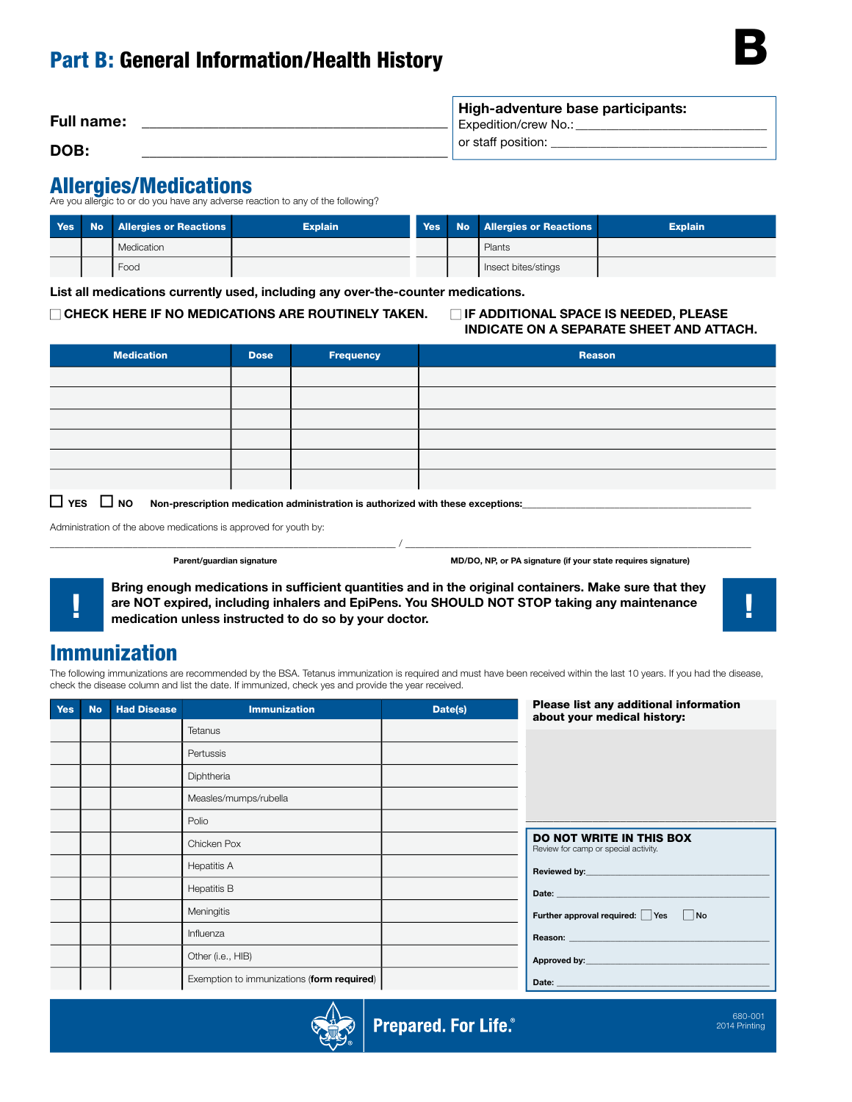| <b>Full name:</b> | High-adventure base participants:<br>Expedition/crew No.: |
|-------------------|-----------------------------------------------------------|
| DOB:              | or staff position:                                        |

## Allergies/Medications

Are you allergic to or do you have any adverse reaction to any of the following?

|  | <b>Yes</b> No Allergies or Reactions | <b>Explain</b> |  | Yes No Allergies or Reactions | <b>Explain</b> |
|--|--------------------------------------|----------------|--|-------------------------------|----------------|
|  | Medication                           |                |  | Plants                        |                |
|  | Food                                 |                |  | Insect bites/stings           |                |

**List all medications currently used, including any over-the-counter medications.**

## **CHECK HERE IF NO MEDICATIONS ARE ROUTINELY TAKEN. IF ADDITIONAL SPACE IS NEEDED, PLEASE**

# **INDICATE ON A SEPARATE SHEET AND ATTACH.**

| <b>Medication</b> | <b>Dose</b> | Frequency | Reason |
|-------------------|-------------|-----------|--------|
|                   |             |           |        |
|                   |             |           |        |
|                   |             |           |        |
|                   |             |           |        |
|                   |             |           |        |
|                   |             |           |        |

 $\Box$  YES  $\Box$  NO Non-prescription medication administration is authorized with these exceptions:

Administration of the above medications is approved for youth by:

**Parent/guardian signature MD/DO, NP, or PA signature (if your state requires signature)**

**Bring enough medications in sufficient quantities and in the original containers. Make sure that they are NOT expired, including inhalers and EpiPens. You SHOULD NOT STOP taking any maintenance**  $\begin{bmatrix} 1 & 1 \\ 0 & 1 \end{bmatrix}$ 

\_\_\_\_\_\_\_\_\_\_\_\_\_\_\_\_\_\_\_\_\_\_\_\_\_\_\_\_\_\_\_\_\_\_\_\_\_\_\_\_\_\_\_\_\_\_\_\_\_\_\_\_\_\_\_\_\_\_\_\_\_\_\_\_\_\_\_\_\_\_\_ / \_\_\_\_\_\_\_\_\_\_\_\_\_\_\_\_\_\_\_\_\_\_\_\_\_\_\_\_\_\_\_\_\_\_\_\_\_\_\_\_\_\_\_\_\_\_\_\_\_\_\_\_\_\_\_\_\_\_\_\_\_\_\_\_\_\_\_\_\_\_\_

B

# Immunization

The following immunizations are recommended by the BSA. Tetanus immunization is required and must have been received within the last 10 years. If you had the disease, check the disease column and list the date. If immunized, check yes and provide the year received.

| <b>Yes</b> | <b>No</b> | <b>Had Disease</b> | <b>Immunization</b>                        | Date(s) | Please list any additional information<br>about your medical history: |
|------------|-----------|--------------------|--------------------------------------------|---------|-----------------------------------------------------------------------|
|            |           |                    | Tetanus                                    |         |                                                                       |
|            |           |                    | Pertussis                                  |         |                                                                       |
|            |           |                    | Diphtheria                                 |         |                                                                       |
|            |           |                    | Measles/mumps/rubella                      |         |                                                                       |
|            |           |                    | Polio                                      |         |                                                                       |
|            |           |                    | Chicken Pox                                |         | DO NOT WRITE IN THIS BOX<br>Review for camp or special activity.      |
|            |           |                    | <b>Hepatitis A</b>                         |         |                                                                       |
|            |           |                    | <b>Hepatitis B</b>                         |         |                                                                       |
|            |           |                    | Meningitis                                 |         | Further approval required: Yes No                                     |
|            |           |                    | Influenza                                  |         |                                                                       |
|            |           |                    | Other (i.e., HIB)                          |         |                                                                       |
|            |           |                    | Exemption to immunizations (form required) |         |                                                                       |